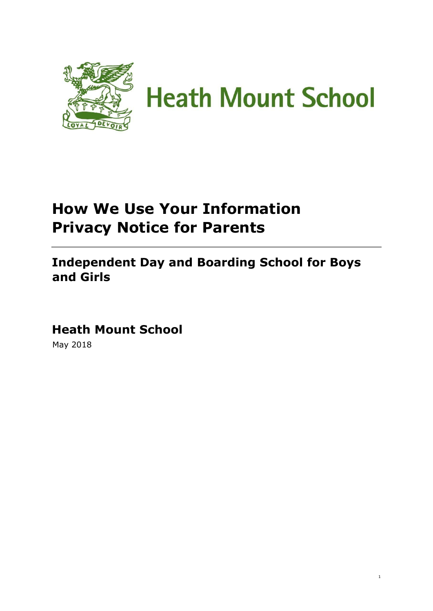

# **How We Use Your Information Privacy Notice for Parents**

**Independent Day and Boarding School for Boys and Girls** 

1

**Heath Mount School**  May 2018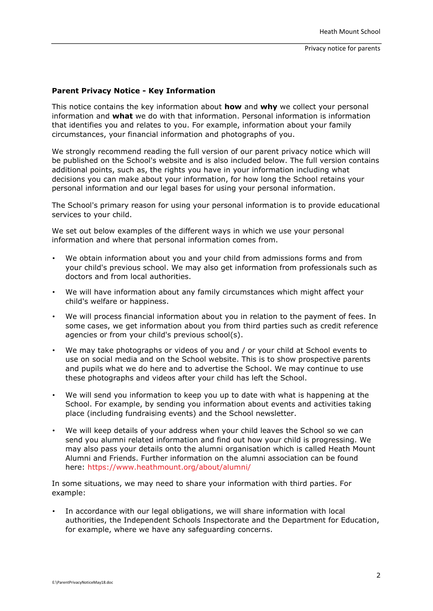#### **Parent Privacy Notice - Key Information**

This notice contains the key information about **how** and **why** we collect your personal information and **what** we do with that information. Personal information is information that identifies you and relates to you. For example, information about your family circumstances, your financial information and photographs of you.

We strongly recommend reading the full version of our parent privacy notice which will be published on the School's website and is also included below. The full version contains additional points, such as, the rights you have in your information including what decisions you can make about your information, for how long the School retains your personal information and our legal bases for using your personal information.

The School's primary reason for using your personal information is to provide educational services to your child.

We set out below examples of the different ways in which we use your personal information and where that personal information comes from.

- We obtain information about you and your child from admissions forms and from your child's previous school. We may also get information from professionals such as doctors and from local authorities.
- We will have information about any family circumstances which might affect your child's welfare or happiness.
- We will process financial information about you in relation to the payment of fees. In some cases, we get information about you from third parties such as credit reference agencies or from your child's previous school(s).
- We may take photographs or videos of you and / or your child at School events to use on social media and on the School website. This is to show prospective parents and pupils what we do here and to advertise the School. We may continue to use these photographs and videos after your child has left the School.
- We will send you information to keep you up to date with what is happening at the School. For example, by sending you information about events and activities taking place (including fundraising events) and the School newsletter.
- We will keep details of your address when your child leaves the School so we can send you alumni related information and find out how your child is progressing. We may also pass your details onto the alumni organisation which is called Heath Mount Alumni and Friends. Further information on the alumni association can be found here:<https://www.heathmount.org/about/alumni/>

In some situations, we may need to share your information with third parties. For example:

• In accordance with our legal obligations, we will share information with local authorities, the Independent Schools Inspectorate and the Department for Education, for example, where we have any safeguarding concerns.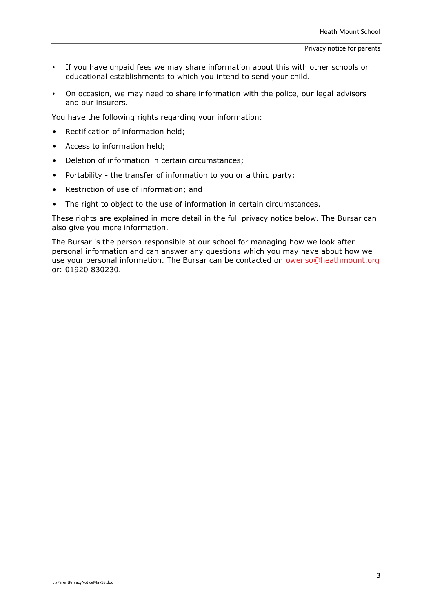- If you have unpaid fees we may share information about this with other schools or educational establishments to which you intend to send your child.
- On occasion, we may need to share information with the police, our legal advisors and our insurers.

You have the following rights regarding your information:

- Rectification of information held;
- Access to information held;
- Deletion of information in certain circumstances;
- Portability the transfer of information to you or a third party;
- Restriction of use of information; and
- The right to object to the use of information in certain circumstances.

These rights are explained in more detail in the full privacy notice below. The Bursar can also give you more information.

The Bursar is the person responsible at our school for managing how we look after personal information and can answer any questions which you may have about how we use your personal information. The Bursar can be contacted on owenso@heathmount.org or: 01920 830230.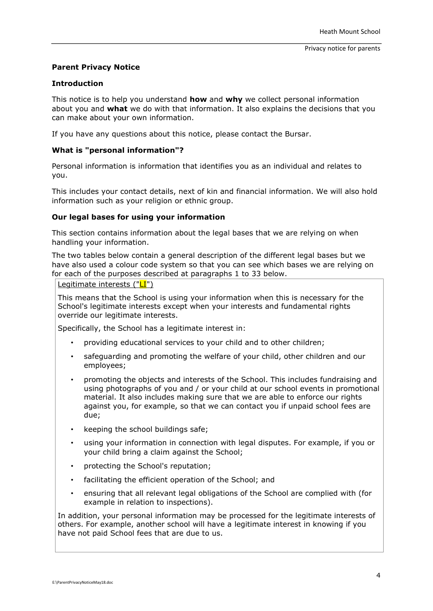# **Parent Privacy Notice**

#### **Introduction**

This notice is to help you understand **how** and **why** we collect personal information about you and **what** we do with that information. It also explains the decisions that you can make about your own information.

If you have any questions about this notice, please contact the Bursar.

#### **What is "personal information"?**

Personal information is information that identifies you as an individual and relates to you.

This includes your contact details, next of kin and financial information. We will also hold information such as your religion or ethnic group.

#### **Our legal bases for using your information**

This section contains information about the legal bases that we are relying on when handling your information.

The two tables below contain a general description of the different legal bases but we have also used a colour code system so that you can see which bases we are relying on for each of the purposes described at paragraphs 1 to 33 below.

# Legitimate interests ("LI")

This means that the School is using your information when this is necessary for the School's legitimate interests except when your interests and fundamental rights override our legitimate interests.

Specifically, the School has a legitimate interest in:

- providing educational services to your child and to other children;
- safeguarding and promoting the welfare of your child, other children and our employees;
- promoting the objects and interests of the School. This includes fundraising and using photographs of you and / or your child at our school events in promotional material. It also includes making sure that we are able to enforce our rights against you, for example, so that we can contact you if unpaid school fees are due;
- keeping the school buildings safe;
- using your information in connection with legal disputes. For example, if you or your child bring a claim against the School;
- protecting the School's reputation;
- facilitating the efficient operation of the School; and
- ensuring that all relevant legal obligations of the School are complied with (for example in relation to inspections).

In addition, your personal information may be processed for the legitimate interests of others. For example, another school will have a legitimate interest in knowing if you have not paid School fees that are due to us.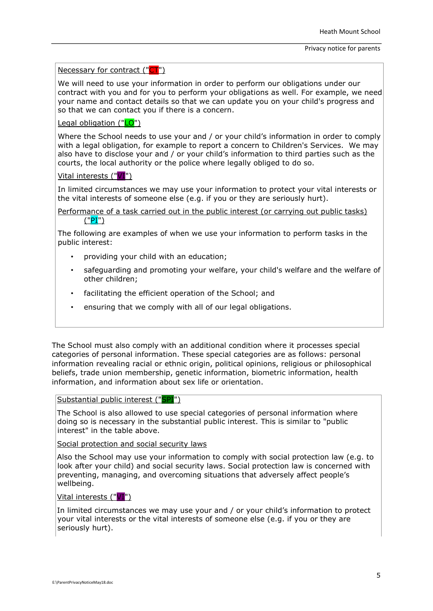#### Necessary for contract ("CT")

We will need to use your information in order to perform our obligations under our contract with you and for you to perform your obligations as well. For example, we need your name and contact details so that we can update you on your child's progress and so that we can contact you if there is a concern.

# Legal obligation ("LO")

Where the School needs to use your and / or your child's information in order to comply with a legal obligation, for example to report a concern to Children's Services. We may also have to disclose your and / or your child's information to third parties such as the courts, the local authority or the police where legally obliged to do so.

# Vital interests ("VI")

In limited circumstances we may use your information to protect your vital interests or the vital interests of someone else (e.g. if you or they are seriously hurt).

## Performance of a task carried out in the public interest (or carrying out public tasks) ("PI")

The following are examples of when we use your information to perform tasks in the public interest:

- providing your child with an education;
- safeguarding and promoting your welfare, your child's welfare and the welfare of other children;
- facilitating the efficient operation of the School; and
- ensuring that we comply with all of our legal obligations.

The School must also comply with an additional condition where it processes special categories of personal information. These special categories are as follows: personal information revealing racial or ethnic origin, political opinions, religious or philosophical beliefs, trade union membership, genetic information, biometric information, health information, and information about sex life or orientation.

# Substantial public interest ("SPI")

The School is also allowed to use special categories of personal information where doing so is necessary in the substantial public interest. This is similar to "public interest" in the table above.

Social protection and social security laws

Also the School may use your information to comply with social protection law (e.g. to look after your child) and social security laws. Social protection law is concerned with preventing, managing, and overcoming situations that adversely affect people's wellbeing.

## Vital interests ("VI")

In limited circumstances we may use your and / or your child's information to protect your vital interests or the vital interests of someone else (e.g. if you or they are seriously hurt).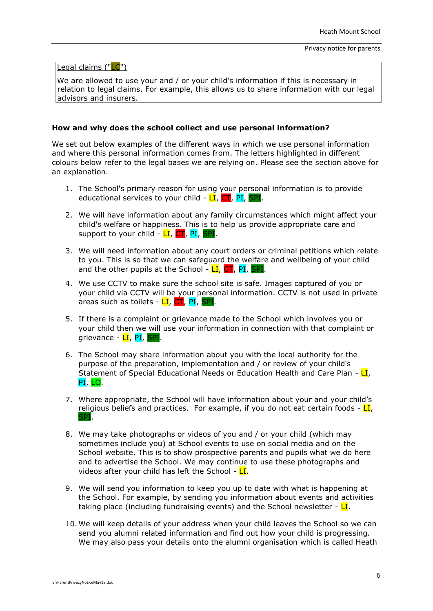

We are allowed to use your and / or your child's information if this is necessary in relation to legal claims. For example, this allows us to share information with our legal advisors and insurers.

#### **How and why does the school collect and use personal information?**

We set out below examples of the different ways in which we use personal information and where this personal information comes from. The letters highlighted in different colours below refer to the legal bases we are relying on. Please see the section above for an explanation.

- 1. The School's primary reason for using your personal information is to provide educational services to your child  $\text{-}$  LI, CT, PI, SPI.
- 2. We will have information about any family circumstances which might affect your child's welfare or happiness. This is to help us provide appropriate care and support to your child  $\text{-}$  LI, CT, PI, SPI.
- 3. We will need information about any court orders or criminal petitions which relate to you. This is so that we can safeguard the welfare and wellbeing of your child and the other pupils at the School -  $LI$ ,  $CT$ , PI, SPI.
- 4. We use CCTV to make sure the school site is safe. Images captured of you or your child via CCTV will be your personal information. CCTV is not used in private areas such as toilets - LI, CT, PI, SPI.
- 5. If there is a complaint or grievance made to the School which involves you or your child then we will use your information in connection with that complaint or grievance - LI, PI, SPI
- 6. The School may share information about you with the local authority for the purpose of the preparation, implementation and / or review of your child's Statement of Special Educational Needs or Education Health and Care Plan -  $LI$ , PI, LO.
- 7. Where appropriate, the School will have information about your and your child's religious beliefs and practices. For example, if you do not eat certain foods -  $LI$ , **SPI.**
- 8. We may take photographs or videos of you and / or your child (which may sometimes include you) at School events to use on social media and on the School website. This is to show prospective parents and pupils what we do here and to advertise the School. We may continue to use these photographs and videos after your child has left the School -  $LI$ .
- 9. We will send you information to keep you up to date with what is happening at the School. For example, by sending you information about events and activities taking place (including fundraising events) and the School newsletter -  $LI$ .
- 10. We will keep details of your address when your child leaves the School so we can send you alumni related information and find out how your child is progressing. We may also pass your details onto the alumni organisation which is called Heath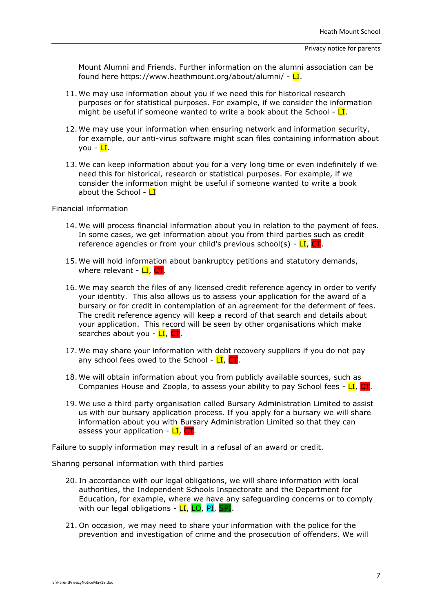Mount Alumni and Friends. Further information on the alumni association can be found here https://www.heathmount.org/about/alumni/ -  $LI$ .

- 11. We may use information about you if we need this for historical research purposes or for statistical purposes. For example, if we consider the information might be useful if someone wanted to write a book about the School -  $LI$ .
- 12. We may use your information when ensuring network and information security, for example, our anti-virus software might scan files containing information about vou - <mark>LI</mark>.
- 13. We can keep information about you for a very long time or even indefinitely if we need this for historical, research or statistical purposes. For example, if we consider the information might be useful if someone wanted to write a book about the School -  $LI$

#### Financial information

- 14. We will process financial information about you in relation to the payment of fees. In some cases, we get information about you from third parties such as credit reference agencies or from your child's previous school(s) -  $LI$ ,
- 15. We will hold information about bankruptcy petitions and statutory demands, where relevant -  $LI$ ,  $CT$ .
- 16. We may search the files of any licensed credit reference agency in order to verify your identity. This also allows us to assess your application for the award of a bursary or for credit in contemplation of an agreement for the deferment of fees. The credit reference agency will keep a record of that search and details about your application. This record will be seen by other organisations which make searches about you -  $LI$ ,
- 17. We may share your information with debt recovery suppliers if you do not pay any school fees owed to the School -  $LI$ ,  $CI$ .
- 18. We will obtain information about you from publicly available sources, such as Companies House and Zoopla, to assess your ability to pay School fees -  $LI$ ,  $CI$ .
- 19. We use a third party organisation called Bursary Administration Limited to assist us with our bursary application process. If you apply for a bursary we will share information about you with Bursary Administration Limited so that they can assess your application - LI, CT.

Failure to supply information may result in a refusal of an award or credit.

#### Sharing personal information with third parties

- 20. In accordance with our legal obligations, we will share information with local authorities, the Independent Schools Inspectorate and the Department for Education, for example, where we have any safeguarding concerns or to comply with our legal obligations - LI, LO, PI, SPI.
- 21. On occasion, we may need to share your information with the police for the prevention and investigation of crime and the prosecution of offenders. We will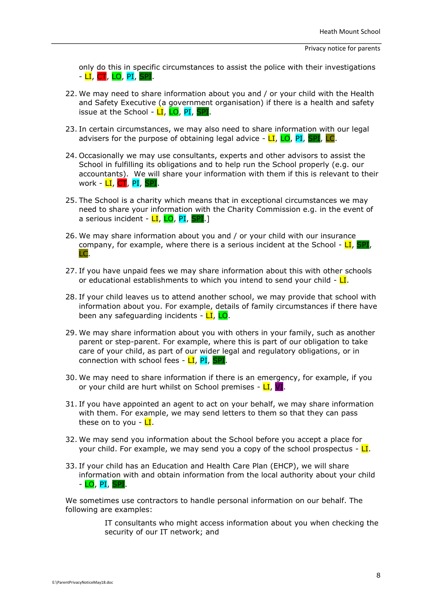only do this in specific circumstances to assist the police with their investigations - LI, CT, LO, PI, SPI.

- 22. We may need to share information about you and / or your child with the Health and Safety Executive (a government organisation) if there is a health and safety issue at the School - LI, LO, PI, SPI.
- 23. In certain circumstances, we may also need to share information with our legal advisers for the purpose of obtaining legal advice  $\overline{-LL}$ ,  $\overline{LO}$ ,  $\overline{PI}$ ,  $\overline{SPI}$ ,  $\overline{LC}$ .
- 24. Occasionally we may use consultants, experts and other advisors to assist the School in fulfilling its obligations and to help run the School properly (e.g. our accountants). We will share your information with them if this is relevant to their work - <mark>LI</mark>, CT, PI, SPI.
- 25. The School is a charity which means that in exceptional circumstances we may need to share your information with the Charity Commission e.g. in the event of a serious incident - LI, LO, PI, SPI.1
- 26. We may share information about you and / or your child with our insurance company, for example, where there is a serious incident at the School -  $LI$ , SPI, LC.
- 27. If you have unpaid fees we may share information about this with other schools or educational establishments to which you intend to send your child -  $LI$ .
- 28. If your child leaves us to attend another school, we may provide that school with information about you. For example, details of family circumstances if there have been any safeguarding incidents - LI, LO.
- 29. We may share information about you with others in your family, such as another parent or step-parent. For example, where this is part of our obligation to take care of your child, as part of our wider legal and regulatory obligations, or in connection with school fees -  $LI$ , PI, SPI.
- 30. We may need to share information if there is an emergency, for example, if you or your child are hurt whilst on School premises -  $LI$ , VI.
- 31. If you have appointed an agent to act on your behalf, we may share information with them. For example, we may send letters to them so that they can pass these on to you -  $LI$ .
- 32. We may send you information about the School before you accept a place for your child. For example, we may send you a copy of the school prospectus -  $LI$ .
- 33. If your child has an Education and Health Care Plan (EHCP), we will share information with and obtain information from the local authority about your child - LO, PI, SPI.

We sometimes use contractors to handle personal information on our behalf. The following are examples:

> IT consultants who might access information about you when checking the security of our IT network; and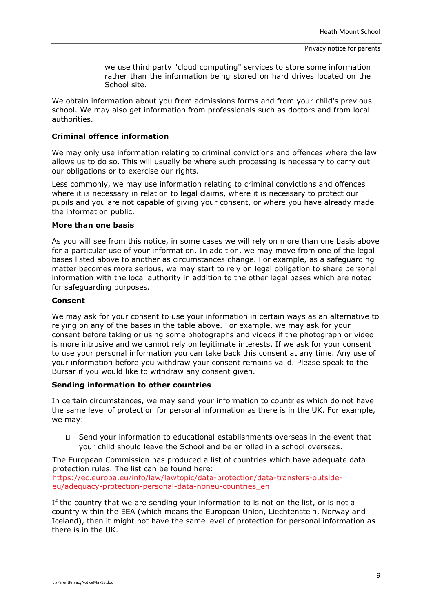we use third party "cloud computing" services to store some information rather than the information being stored on hard drives located on the School site.

We obtain information about you from admissions forms and from your child's previous school. We may also get information from professionals such as doctors and from local authorities.

## **Criminal offence information**

We may only use information relating to criminal convictions and offences where the law allows us to do so. This will usually be where such processing is necessary to carry out our obligations or to exercise our rights.

Less commonly, we may use information relating to criminal convictions and offences where it is necessary in relation to legal claims, where it is necessary to protect our pupils and you are not capable of giving your consent, or where you have already made the information public.

#### **More than one basis**

As you will see from this notice, in some cases we will rely on more than one basis above for a particular use of your information. In addition, we may move from one of the legal bases listed above to another as circumstances change. For example, as a safeguarding matter becomes more serious, we may start to rely on legal obligation to share personal information with the local authority in addition to the other legal bases which are noted for safeguarding purposes.

#### **Consent**

We may ask for your consent to use your information in certain ways as an alternative to relying on any of the bases in the table above. For example, we may ask for your consent before taking or using some photographs and videos if the photograph or video is more intrusive and we cannot rely on legitimate interests. If we ask for your consent to use your personal information you can take back this consent at any time. Any use of your information before you withdraw your consent remains valid. Please speak to the Bursar if you would like to withdraw any consent given.

# **Sending information to other countries**

In certain circumstances, we may send your information to countries which do not have the same level of protection for personal information as there is in the UK. For example, we may:

Send your information to educational establishments overseas in the event that your child should leave the School and be enrolled in a school overseas.

The European Commission has produced a list of countries which have adequate data protection rules. The list can be found here:

[https://ec.europa.eu/info/law/lawtopic/data-protection/data-transfers-outside](https://ec.europa.eu/info/law/law-topic/data-protection/data-transfers-outside-eu/adequacy-protection-personal-data-non-eu-countries_en)[eu/adequacy-protection-personal-data-noneu-countries\\_en](https://ec.europa.eu/info/law/law-topic/data-protection/data-transfers-outside-eu/adequacy-protection-personal-data-non-eu-countries_en)

If the country that we are sending your information to is not on the list, or is not a country within the EEA (which means the European Union, Liechtenstein, Norway and Iceland), then it might not have the same level of protection for personal information as there is in the UK.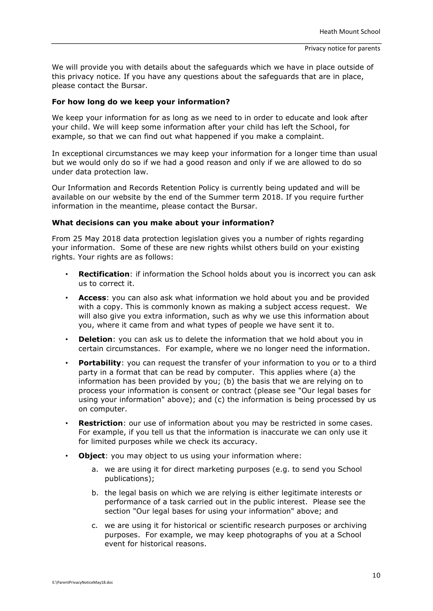We will provide you with details about the safeguards which we have in place outside of this privacy notice. If you have any questions about the safeguards that are in place, please contact the Bursar.

#### **For how long do we keep your information?**

We keep your information for as long as we need to in order to educate and look after your child. We will keep some information after your child has left the School, for example, so that we can find out what happened if you make a complaint.

In exceptional circumstances we may keep your information for a longer time than usual but we would only do so if we had a good reason and only if we are allowed to do so under data protection law.

Our Information and Records Retention Policy is currently being updated and will be available on our website by the end of the Summer term 2018. If you require further information in the meantime, please contact the Bursar.

#### **What decisions can you make about your information?**

From 25 May 2018 data protection legislation gives you a number of rights regarding your information. Some of these are new rights whilst others build on your existing rights. Your rights are as follows:

- **Rectification**: if information the School holds about you is incorrect you can ask us to correct it.
- **Access**: you can also ask what information we hold about you and be provided with a copy. This is commonly known as making a subject access request. We will also give you extra information, such as why we use this information about you, where it came from and what types of people we have sent it to.
- **Deletion**: you can ask us to delete the information that we hold about you in certain circumstances. For example, where we no longer need the information.
- **Portability:** you can request the transfer of your information to you or to a third party in a format that can be read by computer. This applies where (a) the information has been provided by you; (b) the basis that we are relying on to process your information is consent or contract (please see "Our legal bases for using your information" above); and (c) the information is being processed by us on computer.
- **Restriction**: our use of information about you may be restricted in some cases. For example, if you tell us that the information is inaccurate we can only use it for limited purposes while we check its accuracy.
- **Object:** you may object to us using your information where:
	- a. we are using it for direct marketing purposes (e.g. to send you School publications);
	- b. the legal basis on which we are relying is either legitimate interests or performance of a task carried out in the public interest. Please see the section "Our legal bases for using your information" above; and
	- c. we are using it for historical or scientific research purposes or archiving purposes. For example, we may keep photographs of you at a School event for historical reasons.